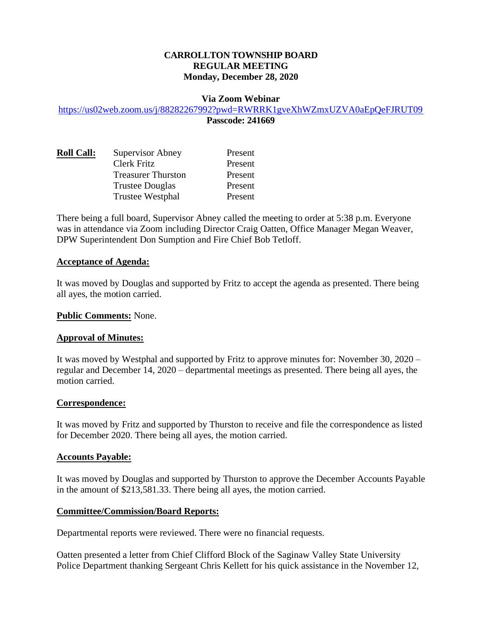## **CARROLLTON TOWNSHIP BOARD REGULAR MEETING Monday, December 28, 2020**

#### **Via Zoom Webinar**

#### <https://us02web.zoom.us/j/88282267992?pwd=RWRRK1gveXhWZmxUZVA0aEpQeFJRUT09> **Passcode: 241669**

| <b>Roll Call:</b> | <b>Supervisor Abney</b>   | Present |
|-------------------|---------------------------|---------|
|                   | <b>Clerk Fritz</b>        | Present |
|                   | <b>Treasurer Thurston</b> | Present |
|                   | <b>Trustee Douglas</b>    | Present |
|                   | <b>Trustee Westphal</b>   | Present |

There being a full board, Supervisor Abney called the meeting to order at 5:38 p.m. Everyone was in attendance via Zoom including Director Craig Oatten, Office Manager Megan Weaver, DPW Superintendent Don Sumption and Fire Chief Bob Tetloff.

#### **Acceptance of Agenda:**

It was moved by Douglas and supported by Fritz to accept the agenda as presented. There being all ayes, the motion carried.

#### **Public Comments:** None.

### **Approval of Minutes:**

It was moved by Westphal and supported by Fritz to approve minutes for: November 30, 2020 – regular and December 14, 2020 – departmental meetings as presented. There being all ayes, the motion carried.

### **Correspondence:**

It was moved by Fritz and supported by Thurston to receive and file the correspondence as listed for December 2020. There being all ayes, the motion carried.

#### **Accounts Payable:**

It was moved by Douglas and supported by Thurston to approve the December Accounts Payable in the amount of \$213,581.33. There being all ayes, the motion carried.

### **Committee/Commission/Board Reports:**

Departmental reports were reviewed. There were no financial requests.

Oatten presented a letter from Chief Clifford Block of the Saginaw Valley State University Police Department thanking Sergeant Chris Kellett for his quick assistance in the November 12,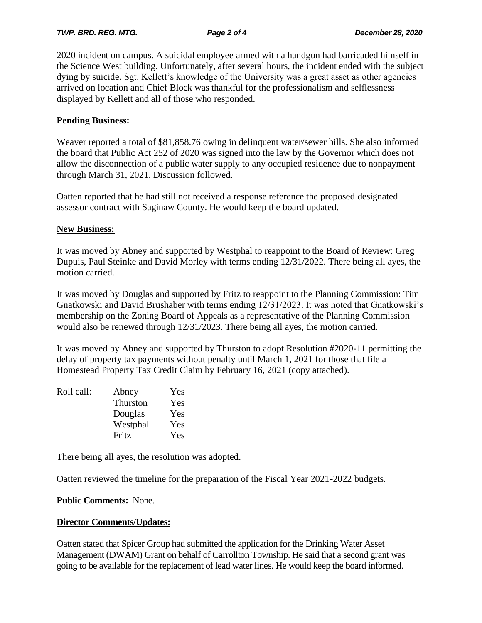2020 incident on campus. A suicidal employee armed with a handgun had barricaded himself in the Science West building. Unfortunately, after several hours, the incident ended with the subject dying by suicide. Sgt. Kellett's knowledge of the University was a great asset as other agencies arrived on location and Chief Block was thankful for the professionalism and selflessness displayed by Kellett and all of those who responded.

## **Pending Business:**

Weaver reported a total of \$81,858.76 owing in delinquent water/sewer bills. She also informed the board that Public Act 252 of 2020 was signed into the law by the Governor which does not allow the disconnection of a public water supply to any occupied residence due to nonpayment through March 31, 2021. Discussion followed.

Oatten reported that he had still not received a response reference the proposed designated assessor contract with Saginaw County. He would keep the board updated.

## **New Business:**

It was moved by Abney and supported by Westphal to reappoint to the Board of Review: Greg Dupuis, Paul Steinke and David Morley with terms ending 12/31/2022. There being all ayes, the motion carried.

It was moved by Douglas and supported by Fritz to reappoint to the Planning Commission: Tim Gnatkowski and David Brushaber with terms ending 12/31/2023. It was noted that Gnatkowski's membership on the Zoning Board of Appeals as a representative of the Planning Commission would also be renewed through 12/31/2023. There being all ayes, the motion carried.

It was moved by Abney and supported by Thurston to adopt Resolution #2020-11 permitting the delay of property tax payments without penalty until March 1, 2021 for those that file a Homestead Property Tax Credit Claim by February 16, 2021 (copy attached).

| Roll call: | Abney    | Yes |
|------------|----------|-----|
|            | Thurston | Yes |
|            | Douglas  | Yes |
|            | Westphal | Yes |
|            | Fritz    | Yes |

There being all ayes, the resolution was adopted.

Oatten reviewed the timeline for the preparation of the Fiscal Year 2021-2022 budgets.

### **Public Comments:** None.

# **Director Comments/Updates:**

Oatten stated that Spicer Group had submitted the application for the Drinking Water Asset Management (DWAM) Grant on behalf of Carrollton Township. He said that a second grant was going to be available for the replacement of lead water lines. He would keep the board informed.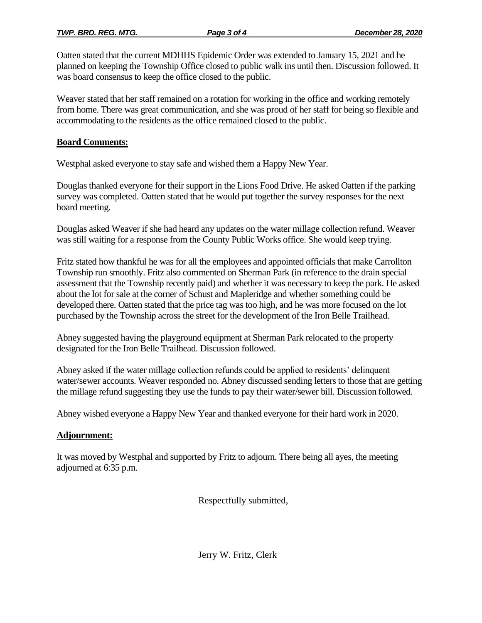Oatten stated that the current MDHHS Epidemic Order was extended to January 15, 2021 and he planned on keeping the Township Office closed to public walk ins until then. Discussion followed. It was board consensus to keep the office closed to the public.

Weaver stated that her staff remained on a rotation for working in the office and working remotely from home. There was great communication, and she was proud of her staff for being so flexible and accommodating to the residents as the office remained closed to the public.

# **Board Comments:**

Westphal asked everyone to stay safe and wished them a Happy New Year.

Douglas thanked everyone for their support in the Lions Food Drive. He asked Oatten if the parking survey was completed. Oatten stated that he would put together the survey responses for the next board meeting.

Douglas asked Weaver if she had heard any updates on the water millage collection refund. Weaver was still waiting for a response from the County Public Works office. She would keep trying.

Fritz stated how thankful he was for all the employees and appointed officials that make Carrollton Township run smoothly. Fritz also commented on Sherman Park (in reference to the drain special assessment that the Township recently paid) and whether it was necessary to keep the park. He asked about the lot for sale at the corner of Schust and Mapleridge and whether something could be developed there. Oatten stated that the price tag was too high, and he was more focused on the lot purchased by the Township across the street for the development of the Iron Belle Trailhead.

Abney suggested having the playground equipment at Sherman Park relocated to the property designated for the Iron Belle Trailhead. Discussion followed.

Abney asked if the water millage collection refunds could be applied to residents' delinquent water/sewer accounts. Weaver responded no. Abney discussed sending letters to those that are getting the millage refund suggesting they use the funds to pay their water/sewer bill. Discussion followed.

Abney wished everyone a Happy New Year and thanked everyone for their hard work in 2020.

# **Adjournment:**

It was moved by Westphal and supported by Fritz to adjourn. There being all ayes, the meeting adjourned at 6:35 p.m.

Respectfully submitted,

Jerry W. Fritz, Clerk